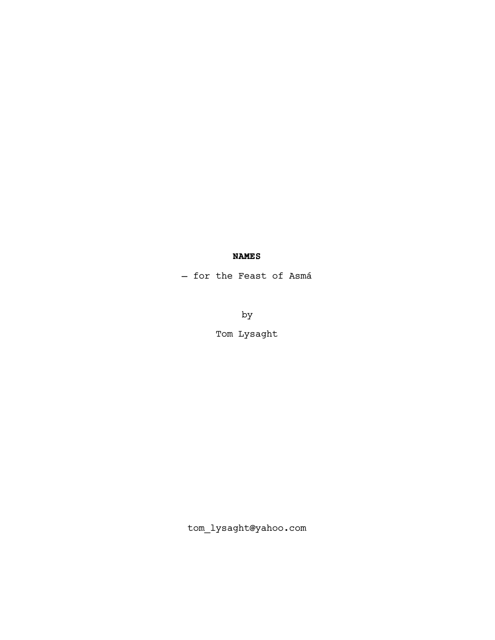# **NAMES**

— for the Feast of Asmá

by

Tom Lysaght

tom\_lysaght@yahoo.com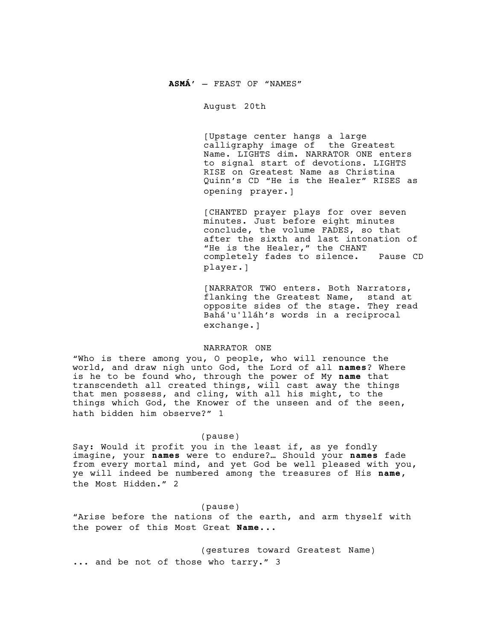### **ASMÁ'** — FEAST OF "NAMES"

August 20th

[Upstage center hangs a large calligraphy image of the Greatest Name. LIGHTS dim. NARRATOR ONE enters to signal start of devotions. LIGHTS RISE on Greatest Name as Christina Quinn's CD "He is the Healer" RISES as opening prayer.]

[CHANTED prayer plays for over seven minutes. Just before eight minutes conclude, the volume FADES, so that after the sixth and last intonation of "He is the Healer," the CHANT completely fades to silence. Pause CD player.]

[NARRATOR TWO enters. Both Narrators, flanking the Greatest Name, stand at opposite sides of the stage. They read Bahá'u'lláh's words in a reciprocal exchange.]

### NARRATOR ONE

"Who is there among you, O people, who will renounce the world, and draw nigh unto God, the Lord of all **names**? Where is he to be found who, through the power of My **name** that transcendeth all created things, will cast away the things that men possess, and cling, with all his might, to the things which God, the Knower of the unseen and of the seen, hath bidden him observe?" 1

## (pause)

Say: Would it profit you in the least if, as ye fondly imagine, your **names** were to endure?… Should your **names** fade from every mortal mind, and yet God be well pleased with you, ye will indeed be numbered among the treasures of His **name**, the Most Hidden." 2

### (pause)

"Arise before the nations of the earth, and arm thyself with the power of this Most Great **Name**...

(gestures toward Greatest Name) ... and be not of those who tarry." 3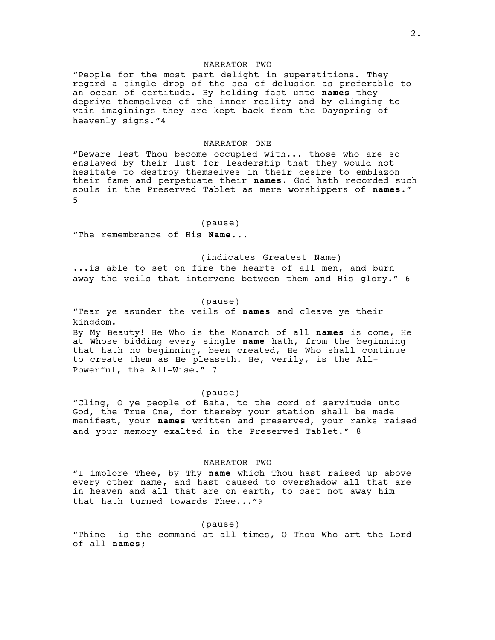## NARRATOR TWO

"People for the most part delight in superstitions. They regard a single drop of the sea of delusion as preferable to an ocean of certitude. By holding fast unto **names** they deprive themselves of the inner reality and by clinging to vain imaginings they are kept back from the Dayspring of heavenly signs."4

### NARRATOR ONE

"Beware lest Thou become occupied with... those who are so enslaved by their lust for leadership that they would not hesitate to destroy themselves in their desire to emblazon their fame and perpetuate their **names**. God hath recorded such souls in the Preserved Tablet as mere worshippers of **names**." 5

#### (pause)

"The remembrance of His **Name**...

(indicates Greatest Name)

...is able to set on fire the hearts of all men, and burn away the veils that intervene between them and His glory." 6

### (pause)

"Tear ye asunder the veils of **names** and cleave ye their kingdom. By My Beauty! He Who is the Monarch of all **names** is come, He

at Whose bidding every single **name** hath, from the beginning that hath no beginning, been created, He Who shall continue to create them as He pleaseth. He, verily, is the All-Powerful, the All-Wise." 7

#### (pause)

"Cling, O ye people of Baha, to the cord of servitude unto God, the True One, for thereby your station shall be made manifest, your **names** written and preserved, your ranks raised and your memory exalted in the Preserved Tablet." 8

### NARRATOR TWO

"I implore Thee, by Thy **name** which Thou hast raised up above every other name, and hast caused to overshadow all that are in heaven and all that are on earth, to cast not away him that hath turned towards Thee..."9

#### (pause)

"Thine is the command at all times, O Thou Who art the Lord of all **names**;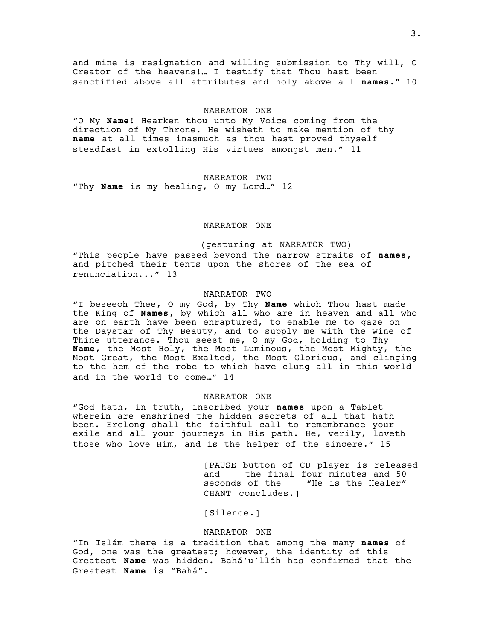and mine is resignation and willing submission to Thy will, O Creator of the heavens!… I testify that Thou hast been sanctified above all attributes and holy above all **names**." 10

#### NARRATOR ONE

"O My **Name**! Hearken thou unto My Voice coming from the direction of My Throne. He wisheth to make mention of thy **name** at all times inasmuch as thou hast proved thyself steadfast in extolling His virtues amongst men." 11

### NARRATOR TWO

"Thy **Name** is my healing, O my Lord…" 12

## NARRATOR ONE

(gesturing at NARRATOR TWO) "This people have passed beyond the narrow straits of **names**, and pitched their tents upon the shores of the sea of renunciation..." 13

#### NARRATOR TWO

"I beseech Thee, O my God, by Thy **Name** which Thou hast made the King of **Names**, by which all who are in heaven and all who are on earth have been enraptured, to enable me to gaze on the Daystar of Thy Beauty, and to supply me with the wine of Thine utterance. Thou seest me, O my God, holding to Thy **Name**, the Most Holy, the Most Luminous, the Most Mighty, the Most Great, the Most Exalted, the Most Glorious, and clinging to the hem of the robe to which have clung all in this world and in the world to come…" 14

#### NARRATOR ONE

"God hath, in truth, inscribed your **names** upon a Tablet wherein are enshrined the hidden secrets of all that hath been. Erelong shall the faithful call to remembrance your exile and all your journeys in His path. He, verily, loveth those who love Him, and is the helper of the sincere." 15

> [PAUSE button of CD player is released<br>and the final four minutes and 50 and the final four minutes and 50 seconds of the "He is the Healer" "He is the Healer" CHANT concludes.]

[Silence.]

### NARRATOR ONE

"In Islám there is a tradition that among the many **names** of God, one was the greatest; however, the identity of this Greatest **Name** was hidden. Bahá'u'lláh has confirmed that the Greatest **Name** is "Bahá".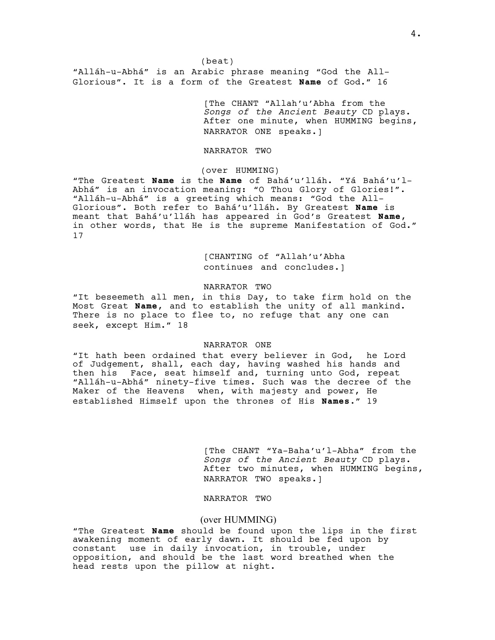(beat) "Alláh-u-Abhá" is an Arabic phrase meaning "God the All-Glorious". It is a form of the Greatest **Name** of God." 16

> [The CHANT "Allah'u'Abha from the *Songs of the Ancient Beauty* CD plays. After one minute, when HUMMING begins, NARRATOR ONE speaks.]

### NARRATOR TWO

### (over HUMMING)

"The Greatest **Name** is the **Name** of Bahá'u'lláh. "Yá Bahá'u'l-Abhá" is an invocation meaning: "O Thou Glory of Glories!". "Alláh-u-Abhá" is a greeting which means: "God the All-Glorious". Both refer to Bahá'u'lláh. By Greatest **Name** is meant that Bahá'u'lláh has appeared in God's Greatest **Name**, in other words, that He is the supreme Manifestation of God." 17

> [CHANTING of "Allah'u'Abha continues and concludes.]

### NARRATOR TWO

"It beseemeth all men, in this Day, to take firm hold on the Most Great **Name**, and to establish the unity of all mankind. There is no place to flee to, no refuge that any one can seek, except Him." 18

### NARRATOR ONE

"It hath been ordained that every believer in God, he Lord of Judgement, shall, each day, having washed his hands and then his Face, seat himself and, turning unto God, repeat "Alláh-u-Abhá" ninety-five times. Such was the decree of the Maker of the Heavens when, with majesty and power, He established Himself upon the thrones of His **Names**." 19

> [The CHANT "Ya-Baha'u'l-Abha" from the *Songs of the Ancient Beauty* CD plays. After two minutes, when HUMMING begins, NARRATOR TWO speaks.]

# NARRATOR TWO

### (over HUMMING)

"The Greatest **Name** should be found upon the lips in the first awakening moment of early dawn. It should be fed upon by constant use in daily invocation, in trouble, under opposition, and should be the last word breathed when the head rests upon the pillow at night.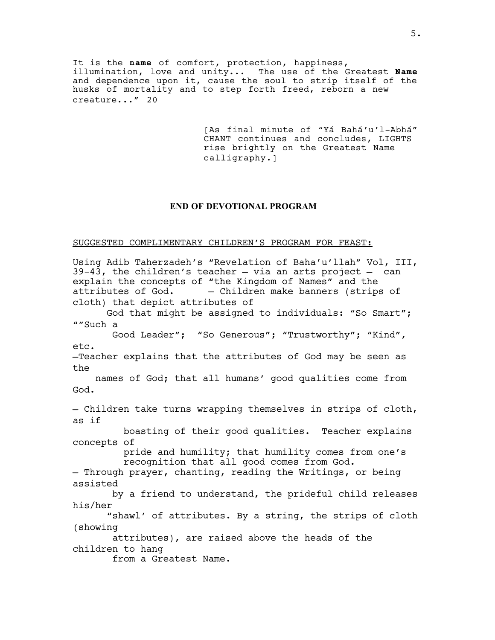It is the **name** of comfort, protection, happiness, illumination, love and unity... The use of the Greatest **Name** and dependence upon it, cause the soul to strip itself of the husks of mortality and to step forth freed, reborn a new creature..." 20

> [As final minute of "Yá Bahá'u'l-Abhá" CHANT continues and concludes, LIGHTS rise brightly on the Greatest Name calligraphy.]

# **END OF DEVOTIONAL PROGRAM**

# SUGGESTED COMPLIMENTARY CHILDREN'S PROGRAM FOR FEAST:

Using Adib Taherzadeh's "Revelation of Baha'u'llah" Vol, III,  $39-43$ , the children's teacher  $-$  via an arts project  $-$  can explain the concepts of "the Kingdom of Names" and the<br>attributes of God. - - Children make banners (strips - Children make banners (strips of cloth) that depict attributes of God that might be assigned to individuals: "So Smart"; ""Such a Good Leader"; "So Generous"; "Trustworthy"; "Kind", etc. —Teacher explains that the attributes of God may be seen as the names of God; that all humans' good qualities come from God. — Children take turns wrapping themselves in strips of cloth, as if boasting of their good qualities. Teacher explains concepts of pride and humility; that humility comes from one's recognition that all good comes from God. — Through prayer, chanting, reading the Writings, or being assisted by a friend to understand, the prideful child releases his/her "shawl' of attributes. By a string, the strips of cloth (showing attributes), are raised above the heads of the children to hang from a Greatest Name.